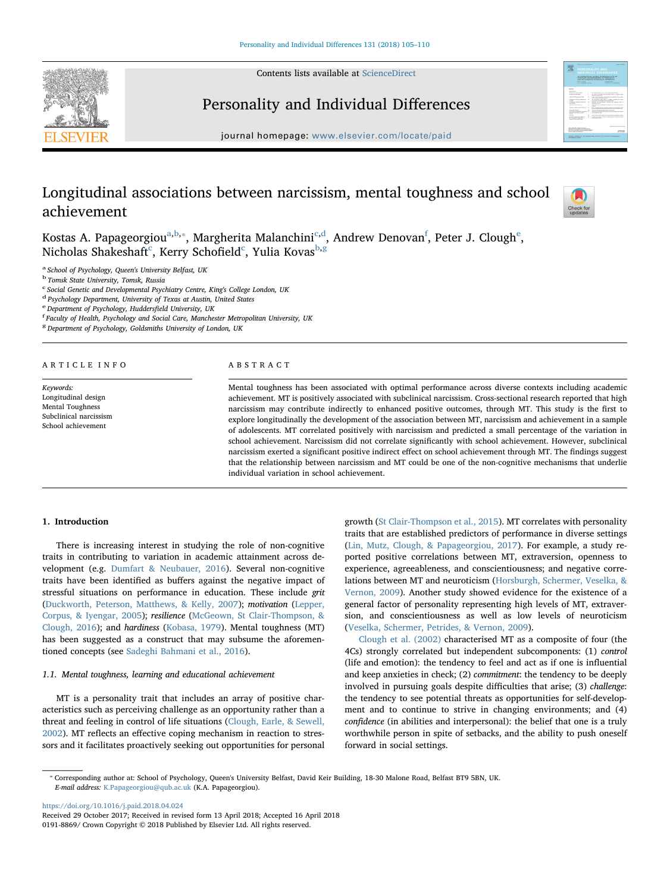Contents lists available at [ScienceDirect](http://www.sciencedirect.com/science/journal/01918869)



# Personality and Individual Differences



journal homepage: [www.elsevier.com/locate/paid](https://www.elsevier.com/locate/paid)

# Longitudinal associations between narcissism, mental toughness and school achievement



Kost[a](#page-0-0)s A. Papag[e](#page-0-6)orgiou $^{\mathrm{a,b,*}},$  $^{\mathrm{a,b,*}},$  $^{\mathrm{a,b,*}},$  Margherita Malan[c](#page-0-3)hini $^{\mathrm{c,d}},$  $^{\mathrm{c,d}},$  $^{\mathrm{c,d}},$  Andrew Denovan $^{\mathrm{f}},$  $^{\mathrm{f}},$  $^{\mathrm{f}},$  Peter J. Clough $^{\mathrm{e}},$ Ni[c](#page-0-3)holas Shakeshaft $^{\rm c}$ , Kerry Schofield $^{\rm c}$ , Yulia Kovas $^{\rm b,g}$  $^{\rm b,g}$  $^{\rm b,g}$  $^{\rm b,g}$  $^{\rm b,g}$ 

<span id="page-0-0"></span><sup>a</sup> School of Psychology, Queen's University Belfast, UK

<span id="page-0-1"></span><sup>b</sup> Tomsk State University, Tomsk, Russia

<span id="page-0-3"></span><sup>c</sup> Social Genetic and Developmental Psychiatry Centre, King's College London, UK

<span id="page-0-4"></span><sup>d</sup> Psychology Department, University of Texas at Austin, United States

<span id="page-0-6"></span>e Department of Psychology, Huddersfield University, UK

<span id="page-0-5"></span>Faculty of Health, Psychology and Social Care, Manchester Metropolitan University, UK

<span id="page-0-7"></span><sup>g</sup> Department of Psychology, Goldsmiths University of London, UK

#### ARTICLE INFO

Keywords: Longitudinal design Mental Toughness Subclinical narcissism School achievement

#### ABSTRACT

Mental toughness has been associated with optimal performance across diverse contexts including academic achievement. MT is positively associated with subclinical narcissism. Cross-sectional research reported that high narcissism may contribute indirectly to enhanced positive outcomes, through MT. This study is the first to explore longitudinally the development of the association between MT, narcissism and achievement in a sample of adolescents. MT correlated positively with narcissism and predicted a small percentage of the variation in school achievement. Narcissism did not correlate significantly with school achievement. However, subclinical narcissism exerted a significant positive indirect effect on school achievement through MT. The findings suggest that the relationship between narcissism and MT could be one of the non-cognitive mechanisms that underlie individual variation in school achievement.

# 1. Introduction

There is increasing interest in studying the role of non-cognitive traits in contributing to variation in academic attainment across development (e.g. [Dumfart & Neubauer, 2016\)](#page-5-0). Several non-cognitive traits have been identified as buffers against the negative impact of stressful situations on performance in education. These include grit ([Duckworth, Peterson, Matthews, & Kelly, 2007\)](#page-5-1); motivation [\(Lepper,](#page-5-2) [Corpus, & Iyengar, 2005](#page-5-2)); resilience ([McGeown, St Clair-Thompson, &](#page-5-3) [Clough, 2016\)](#page-5-3); and hardiness [\(Kobasa, 1979](#page-5-4)). Mental toughness (MT) has been suggested as a construct that may subsume the aforementioned concepts (see [Sadeghi Bahmani et al., 2016\)](#page-5-5).

# 1.1. Mental toughness, learning and educational achievement

MT is a personality trait that includes an array of positive characteristics such as perceiving challenge as an opportunity rather than a threat and feeling in control of life situations ([Clough, Earle, & Sewell,](#page-4-0) [2002\)](#page-4-0). MT reflects an effective coping mechanism in reaction to stressors and it facilitates proactively seeking out opportunities for personal growth ([St Clair-Thompson et al., 2015](#page-5-6)). MT correlates with personality traits that are established predictors of performance in diverse settings ([Lin, Mutz, Clough, & Papageorgiou, 2017](#page-5-7)). For example, a study reported positive correlations between MT, extraversion, openness to experience, agreeableness, and conscientiousness; and negative correlations between MT and neuroticism ([Horsburgh, Schermer, Veselka, &](#page-5-8) [Vernon, 2009](#page-5-8)). Another study showed evidence for the existence of a general factor of personality representing high levels of MT, extraversion, and conscientiousness as well as low levels of neuroticism ([Veselka, Schermer, Petrides, & Vernon, 2009\)](#page-5-9).

[Clough et al. \(2002\)](#page-4-0) characterised MT as a composite of four (the 4Cs) strongly correlated but independent subcomponents: (1) control (life and emotion): the tendency to feel and act as if one is influential and keep anxieties in check; (2) commitment: the tendency to be deeply involved in pursuing goals despite difficulties that arise; (3) challenge: the tendency to see potential threats as opportunities for self-development and to continue to strive in changing environments; and (4) confidence (in abilities and interpersonal): the belief that one is a truly worthwhile person in spite of setbacks, and the ability to push oneself forward in social settings.

<span id="page-0-2"></span>⁎ Corresponding author at: School of Psychology, Queen's University Belfast, David Keir Building, 18-30 Malone Road, Belfast BT9 5BN, UK. E-mail address: [K.Papageorgiou@qub.ac.uk](mailto:K.Papageorgiou@qub.ac.uk) (K.A. Papageorgiou).

<https://doi.org/10.1016/j.paid.2018.04.024>

Received 29 October 2017; Received in revised form 13 April 2018; Accepted 16 April 2018 0191-8869/ Crown Copyright © 2018 Published by Elsevier Ltd. All rights reserved.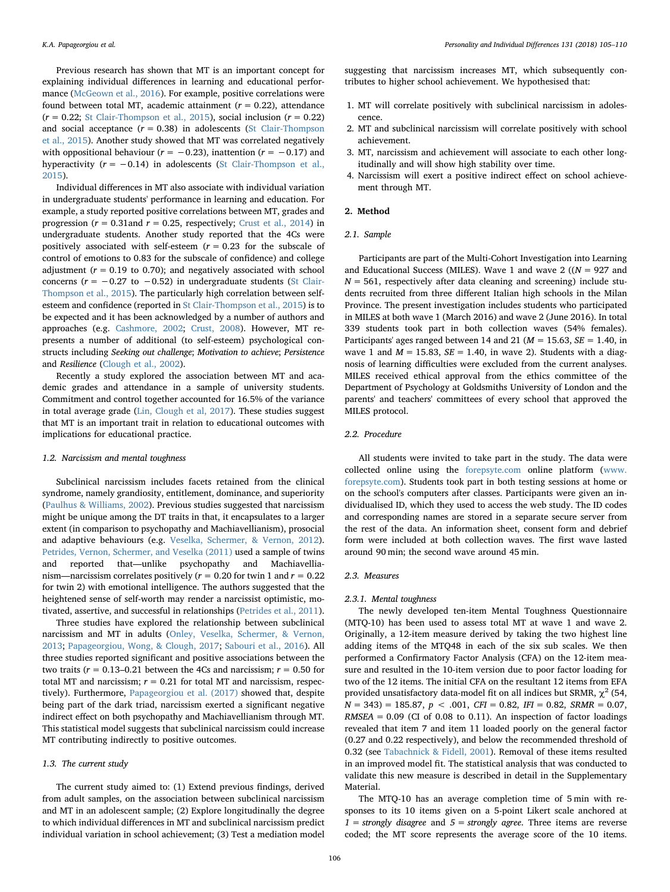Previous research has shown that MT is an important concept for explaining individual differences in learning and educational performance ([McGeown et al., 2016\)](#page-5-3). For example, positive correlations were found between total MT, academic attainment ( $r = 0.22$ ), attendance  $(r = 0.22;$  [St Clair-Thompson et al., 2015\)](#page-5-6), social inclusion  $(r = 0.22)$ and social acceptance  $(r = 0.38)$  in adolescents [\(St Clair-Thompson](#page-5-6) [et al., 2015\)](#page-5-6). Another study showed that MT was correlated negatively with oppositional behaviour ( $r = -0.23$ ), inattention ( $r = -0.17$ ) and hyperactivity ( $r = -0.14$ ) in adolescents [\(St Clair-Thompson et al.,](#page-5-6) [2015\)](#page-5-6).

Individual differences in MT also associate with individual variation in undergraduate students' performance in learning and education. For example, a study reported positive correlations between MT, grades and progression ( $r = 0.31$ and  $r = 0.25$ , respectively; [Crust et al., 2014\)](#page-4-1) in undergraduate students. Another study reported that the 4Cs were positively associated with self-esteem  $(r = 0.23$  for the subscale of control of emotions to 0.83 for the subscale of confidence) and college adjustment ( $r = 0.19$  to 0.70); and negatively associated with school concerns ( $r = -0.27$  to  $-0.52$ ) in undergraduate students ([St Clair-](#page-5-6)[Thompson et al., 2015\)](#page-5-6). The particularly high correlation between selfesteem and confidence (reported in [St Clair-Thompson et al., 2015](#page-5-6)) is to be expected and it has been acknowledged by a number of authors and approaches (e.g. [Cashmore, 2002;](#page-4-2) [Crust, 2008\)](#page-4-3). However, MT represents a number of additional (to self-esteem) psychological constructs including Seeking out challenge; Motivation to achieve; Persistence and Resilience [\(Clough et al., 2002\)](#page-4-0).

Recently a study explored the association between MT and academic grades and attendance in a sample of university students. Commitment and control together accounted for 16.5% of the variance in total average grade ([Lin, Clough et al, 2017\)](#page-5-10). These studies suggest that MT is an important trait in relation to educational outcomes with implications for educational practice.

# 1.2. Narcissism and mental toughness

Subclinical narcissism includes facets retained from the clinical syndrome, namely grandiosity, entitlement, dominance, and superiority ([Paulhus & Williams, 2002](#page-5-11)). Previous studies suggested that narcissism might be unique among the DT traits in that, it encapsulates to a larger extent (in comparison to psychopathy and Machiavellianism), prosocial and adaptive behaviours (e.g. [Veselka, Schermer, & Vernon, 2012](#page-5-12)). [Petrides, Vernon, Schermer, and Veselka \(2011\)](#page-5-13) used a sample of twins and reported that—unlike psychopathy and Machiavellianism—narcissism correlates positively ( $r = 0.20$  for twin 1 and  $r = 0.22$ for twin 2) with emotional intelligence. The authors suggested that the heightened sense of self-worth may render a narcissist optimistic, motivated, assertive, and successful in relationships [\(Petrides et al., 2011](#page-5-13)).

Three studies have explored the relationship between subclinical narcissism and MT in adults ([Onley, Veselka, Schermer, & Vernon,](#page-5-14) [2013;](#page-5-14) [Papageorgiou, Wong, & Clough, 2017](#page-5-15); [Sabouri et al., 2016\)](#page-5-16). All three studies reported significant and positive associations between the two traits ( $r = 0.13$ –0.21 between the 4Cs and narcissism;  $r = 0.50$  for total MT and narcissism;  $r = 0.21$  for total MT and narcissism, respectively). Furthermore, [Papageorgiou et al. \(2017\)](#page-5-15) showed that, despite being part of the dark triad, narcissism exerted a significant negative indirect effect on both psychopathy and Machiavellianism through MT. This statistical model suggests that subclinical narcissism could increase MT contributing indirectly to positive outcomes.

# 1.3. The current study

The current study aimed to: (1) Extend previous findings, derived from adult samples, on the association between subclinical narcissism and MT in an adolescent sample; (2) Explore longitudinally the degree to which individual differences in MT and subclinical narcissism predict individual variation in school achievement; (3) Test a mediation model

suggesting that narcissism increases MT, which subsequently contributes to higher school achievement. We hypothesised that:

- 1. MT will correlate positively with subclinical narcissism in adolescence.
- 2. MT and subclinical narcissism will correlate positively with school achievement.
- 3. MT, narcissism and achievement will associate to each other longitudinally and will show high stability over time.
- 4. Narcissism will exert a positive indirect effect on school achievement through MT.

## 2. Method

# 2.1. Sample

Participants are part of the Multi-Cohort Investigation into Learning and Educational Success (MILES). Wave 1 and wave 2 ( $(N = 927$  and  $N = 561$ , respectively after data cleaning and screening) include students recruited from three different Italian high schools in the Milan Province. The present investigation includes students who participated in MILES at both wave 1 (March 2016) and wave 2 (June 2016). In total 339 students took part in both collection waves (54% females). Participants' ages ranged between 14 and 21 ( $M = 15.63$ ,  $SE = 1.40$ , in wave 1 and  $M = 15.83$ ,  $SE = 1.40$ , in wave 2). Students with a diagnosis of learning difficulties were excluded from the current analyses. MILES received ethical approval from the ethics committee of the Department of Psychology at Goldsmiths University of London and the parents' and teachers' committees of every school that approved the MILES protocol.

# 2.2. Procedure

All students were invited to take part in the study. The data were collected online using the [forepsyte.com](http://forepsyte.com) online platform ([www.](http://www.forepsyte.com) [forepsyte.com](http://www.forepsyte.com)). Students took part in both testing sessions at home or on the school's computers after classes. Participants were given an individualised ID, which they used to access the web study. The ID codes and corresponding names are stored in a separate secure server from the rest of the data. An information sheet, consent form and debrief form were included at both collection waves. The first wave lasted around 90 min; the second wave around 45 min.

#### 2.3. Measures

## 2.3.1. Mental toughness

The newly developed ten-item Mental Toughness Questionnaire (MTQ-10) has been used to assess total MT at wave 1 and wave 2. Originally, a 12-item measure derived by taking the two highest line adding items of the MTQ48 in each of the six sub scales. We then performed a Confirmatory Factor Analysis (CFA) on the 12-item measure and resulted in the 10-item version due to poor factor loading for two of the 12 items. The initial CFA on the resultant 12 items from EFA provided unsatisfactory data-model fit on all indices but SRMR,  $\chi^2$  (54,  $N = 343$ ) = 185.87,  $p < .001$ , CFI = 0.82, IFI = 0.82, SRMR = 0.07,  $RMSEA = 0.09$  (CI of 0.08 to 0.11). An inspection of factor loadings revealed that item 7 and item 11 loaded poorly on the general factor (0.27 and 0.22 respectively), and below the recommended threshold of 0.32 (see [Tabachnick & Fidell, 2001\)](#page-5-17). Removal of these items resulted in an improved model fit. The statistical analysis that was conducted to validate this new measure is described in detail in the Supplementary Material.

The MTQ-10 has an average completion time of 5 min with responses to its 10 items given on a 5-point Likert scale anchored at  $1 =$  strongly disagree and  $5 =$  strongly agree. Three items are reverse coded; the MT score represents the average score of the 10 items.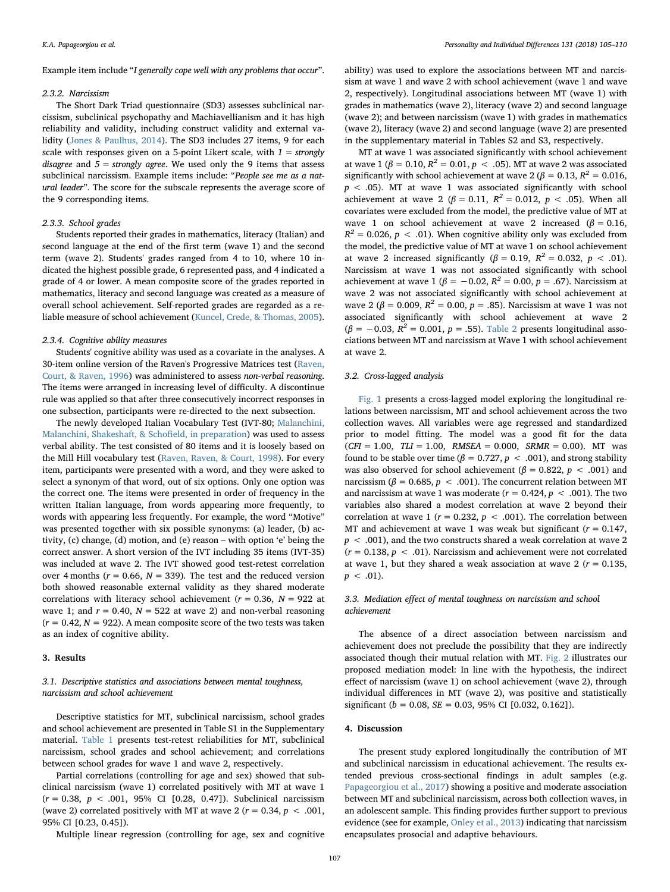Example item include "I generally cope well with any problems that occur".

#### 2.3.2. Narcissism

The Short Dark Triad questionnaire (SD3) assesses subclinical narcissism, subclinical psychopathy and Machiavellianism and it has high reliability and validity, including construct validity and external validity [\(Jones & Paulhus, 2014\)](#page-5-18). The SD3 includes 27 items, 9 for each scale with responses given on a 5-point Likert scale, with  $1 =$  strongly disagree and  $5 =$  strongly agree. We used only the 9 items that assess subclinical narcissism. Example items include: "People see me as a natural leader". The score for the subscale represents the average score of the 9 corresponding items.

# 2.3.3. School grades

Students reported their grades in mathematics, literacy (Italian) and second language at the end of the first term (wave 1) and the second term (wave 2). Students' grades ranged from 4 to 10, where 10 indicated the highest possible grade, 6 represented pass, and 4 indicated a grade of 4 or lower. A mean composite score of the grades reported in mathematics, literacy and second language was created as a measure of overall school achievement. Self-reported grades are regarded as a reliable measure of school achievement [\(Kuncel, Crede, & Thomas, 2005](#page-5-19)).

# 2.3.4. Cognitive ability measures

Students' cognitive ability was used as a covariate in the analyses. A 30-item online version of the Raven's Progressive Matrices test ([Raven,](#page-5-20) [Court, & Raven, 1996\)](#page-5-20) was administered to assess non-verbal reasoning. The items were arranged in increasing level of difficulty. A discontinue rule was applied so that after three consecutively incorrect responses in one subsection, participants were re-directed to the next subsection.

The newly developed Italian Vocabulary Test (IVT-80; [Malanchini,](#page-5-21) [Malanchini, Shakeshaft, & Scho](#page-5-21)field, in preparation) was used to assess verbal ability. The test consisted of 80 items and it is loosely based on the Mill Hill vocabulary test [\(Raven, Raven, & Court, 1998](#page-5-22)). For every item, participants were presented with a word, and they were asked to select a synonym of that word, out of six options. Only one option was the correct one. The items were presented in order of frequency in the written Italian language, from words appearing more frequently, to words with appearing less frequently. For example, the word "Motive" was presented together with six possible synonyms: (a) leader, (b) activity, (c) change, (d) motion, and (e) reason – with option 'e' being the correct answer. A short version of the IVT including 35 items (IVT-35) was included at wave 2. The IVT showed good test-retest correlation over 4 months ( $r = 0.66$ ,  $N = 339$ ). The test and the reduced version both showed reasonable external validity as they shared moderate correlations with literacy school achievement ( $r = 0.36$ ,  $N = 922$  at wave 1; and  $r = 0.40$ ,  $N = 522$  at wave 2) and non-verbal reasoning  $(r = 0.42, N = 922)$ . A mean composite score of the two tests was taken as an index of cognitive ability.

### 3. Results

# 3.1. Descriptive statistics and associations between mental toughness, narcissism and school achievement

Descriptive statistics for MT, subclinical narcissism, school grades and school achievement are presented in Table S1 in the Supplementary material. [Table 1](#page-3-0) presents test-retest reliabilities for MT, subclinical narcissism, school grades and school achievement; and correlations between school grades for wave 1 and wave 2, respectively.

Partial correlations (controlling for age and sex) showed that subclinical narcissism (wave 1) correlated positively with MT at wave 1  $(r = 0.38, p < .001, 95\%$  CI [0.28, 0.47]). Subclinical narcissism (wave 2) correlated positively with MT at wave 2 ( $r = 0.34$ ,  $p < .001$ , 95% CI [0.23, 0.45]).

Multiple linear regression (controlling for age, sex and cognitive

ability) was used to explore the associations between MT and narcissism at wave 1 and wave 2 with school achievement (wave 1 and wave 2, respectively). Longitudinal associations between MT (wave 1) with grades in mathematics (wave 2), literacy (wave 2) and second language (wave 2); and between narcissism (wave 1) with grades in mathematics (wave 2), literacy (wave 2) and second language (wave 2) are presented in the supplementary material in Tables S2 and S3, respectively.

MT at wave 1 was associated significantly with school achievement at wave 1 (β = 0.10,  $R^2 = 0.01$ ,  $p < .05$ ). MT at wave 2 was associated significantly with school achievement at wave 2 ( $\beta = 0.13$ ,  $R^2 = 0.016$ ,  $p < .05$ ). MT at wave 1 was associated significantly with school achievement at wave 2 ( $\beta = 0.11$ ,  $R^2 = 0.012$ ,  $p < .05$ ). When all covariates were excluded from the model, the predictive value of MT at wave 1 on school achievement at wave 2 increased ( $\beta = 0.16$ ,  $R^2 = 0.026$ ,  $p < .01$ ). When cognitive ability only was excluded from the model, the predictive value of MT at wave 1 on school achievement at wave 2 increased significantly ( $\beta = 0.19$ ,  $R^2 = 0.032$ ,  $p < .01$ ). Narcissism at wave 1 was not associated significantly with school achievement at wave 1 ( $\beta$  = -0.02,  $R^2$  = 0.00,  $p$  = .67). Narcissism at wave 2 was not associated significantly with school achievement at wave 2 (β = 0.009,  $R^2$  = 0.00, p = .85). Narcissism at wave 1 was not associated significantly with school achievement at wave 2  $(\beta = -0.03, R^2 = 0.001, p = .55)$ . [Table 2](#page-3-1) presents longitudinal associations between MT and narcissism at Wave 1 with school achievement at wave 2.

#### 3.2. Cross-lagged analysis

[Fig. 1](#page-4-4) presents a cross-lagged model exploring the longitudinal relations between narcissism, MT and school achievement across the two collection waves. All variables were age regressed and standardized prior to model fitting. The model was a good fit for the data  $(CFI = 1.00, TLI = 1.00, RMSEA = 0.000, SRMR = 0.00)$ . MT was found to be stable over time ( $\beta = 0.727$ ,  $p < .001$ ), and strong stability was also observed for school achievement ( $\beta$  = 0.822,  $p$  < .001) and narcissism ( $\beta$  = 0.685,  $p$  < .001). The concurrent relation between MT and narcissism at wave 1 was moderate ( $r = 0.424$ ,  $p < .001$ ). The two variables also shared a modest correlation at wave 2 beyond their correlation at wave 1 ( $r = 0.232$ ,  $p < .001$ ). The correlation between MT and achievement at wave 1 was weak but significant ( $r = 0.147$ ,  $p < .001$ ), and the two constructs shared a weak correlation at wave 2  $(r = 0.138, p < .01)$ . Narcissism and achievement were not correlated at wave 1, but they shared a weak association at wave 2 ( $r = 0.135$ ,  $p < .01$ ).

# 3.3. Mediation effect of mental toughness on narcissism and school achievement

The absence of a direct association between narcissism and achievement does not preclude the possibility that they are indirectly associated though their mutual relation with MT. [Fig. 2](#page-4-5) illustrates our proposed mediation model: In line with the hypothesis, the indirect effect of narcissism (wave 1) on school achievement (wave 2), through individual differences in MT (wave 2), was positive and statistically significant ( $b = 0.08$ ,  $SE = 0.03$ , 95% CI [0.032, 0.162]).

# 4. Discussion

The present study explored longitudinally the contribution of MT and subclinical narcissism in educational achievement. The results extended previous cross-sectional findings in adult samples (e.g. [Papageorgiou et al., 2017](#page-5-15)) showing a positive and moderate association between MT and subclinical narcissism, across both collection waves, in an adolescent sample. This finding provides further support to previous evidence (see for example, [Onley et al., 2013\)](#page-5-14) indicating that narcissism encapsulates prosocial and adaptive behaviours.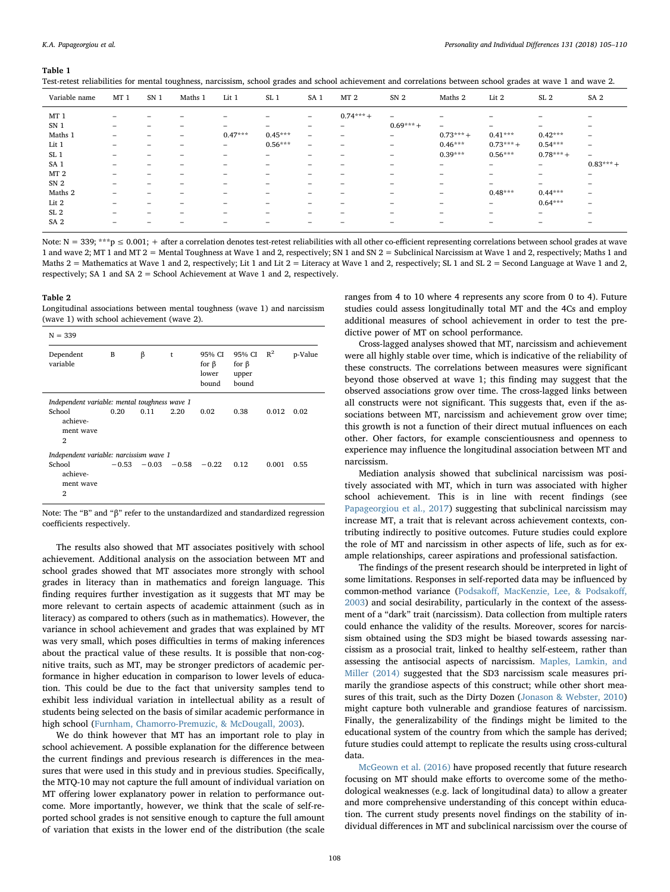#### <span id="page-3-0"></span>Table 1

| Variable name   | MT <sub>1</sub>          | SN <sub>1</sub>          | Maths 1 | Lit 1                    | SL <sub>1</sub> | SA <sub>1</sub>          | MT <sub>2</sub> | SN <sub>2</sub>          | Maths 2                  | Lit 2                    | SL <sub>2</sub>          | SA <sub>2</sub>          |
|-----------------|--------------------------|--------------------------|---------|--------------------------|-----------------|--------------------------|-----------------|--------------------------|--------------------------|--------------------------|--------------------------|--------------------------|
| MT <sub>1</sub> | $\overline{\phantom{a}}$ | $\overline{\phantom{a}}$ | -       | $\overline{\phantom{a}}$ | -               | $-$                      | $0.74***$       | $\overline{\phantom{0}}$ | $\overline{\phantom{a}}$ | $\overline{\phantom{0}}$ | -                        | -                        |
| SN <sub>1</sub> | $\overline{\phantom{a}}$ | -                        |         | $\overline{\phantom{0}}$ | -               | $\overline{\phantom{0}}$ | -               | $0.69***$                | $\qquad \qquad =$        | $\overline{\phantom{0}}$ | $\overline{\phantom{0}}$ | -                        |
| Maths 1         | $\overline{\phantom{a}}$ | -                        | -       | $0.47***$                | $0.45***$       | $\qquad \qquad =$        | $\qquad \qquad$ | $\overline{\phantom{0}}$ | $0.73***$                | $0.41***$                | $0.42***$                | $\overline{\phantom{0}}$ |
| Lit 1           | $\overline{\phantom{a}}$ | $\overline{\phantom{a}}$ |         | $-$                      | $0.56***$       | $\overline{\phantom{0}}$ | -               | $\overline{\phantom{a}}$ | $0.46***$                | $0.73***$                | $0.54***$                | $\overline{\phantom{0}}$ |
| SL <sub>1</sub> | $\overline{\phantom{a}}$ | -                        |         | $\overline{\phantom{0}}$ | -               | $\overline{\phantom{0}}$ | -               | $\overline{\phantom{a}}$ | $0.39***$                | $0.56***$                | $0.78***$                | $\overline{\phantom{0}}$ |
| SA <sub>1</sub> | $\overline{\phantom{a}}$ | $\overline{\phantom{a}}$ |         | $\overline{\phantom{0}}$ |                 | $\overline{\phantom{0}}$ | -               | $\overline{\phantom{a}}$ | $\overline{\phantom{0}}$ | $\overline{\phantom{0}}$ | -                        | $0.83***$                |
| MT <sub>2</sub> | $\overline{\phantom{a}}$ | $\overline{\phantom{a}}$ |         | -                        | -               | $\overline{\phantom{0}}$ | -               |                          | $\overline{\phantom{0}}$ | $\overline{\phantom{0}}$ | -                        | $\overline{\phantom{0}}$ |
| SN <sub>2</sub> | $\overline{\phantom{0}}$ | $\overline{\phantom{a}}$ | -       | -                        | -               | $\overline{\phantom{0}}$ | -               | $\overline{\phantom{a}}$ | $\overline{\phantom{a}}$ | $\qquad \qquad$          | $\overline{\phantom{0}}$ | -                        |
| Maths 2         | -                        | $\overline{\phantom{a}}$ | -       | $\overline{\phantom{a}}$ | -               | $\overline{\phantom{0}}$ | -               | -                        | $\qquad \qquad =$        | $0.48***$                | $0.44***$                | -                        |
| Lit 2           | $\overline{\phantom{0}}$ | -                        |         | $\overline{\phantom{a}}$ | -               | $\overline{\phantom{0}}$ | -               | -                        | $\overline{\phantom{a}}$ | $\overline{\phantom{0}}$ | $0.64***$                | -                        |
| SL <sub>2</sub> | $\overline{\phantom{a}}$ | $\overline{\phantom{a}}$ |         | -                        | -               | $\overline{\phantom{0}}$ | -               | -                        | -                        | $\overline{\phantom{a}}$ | $\overline{\phantom{0}}$ | -                        |
| SA <sub>2</sub> |                          |                          |         | -                        |                 | $\overline{\phantom{a}}$ | -               |                          | -                        | -                        | -                        | -                        |

Test-retest reliabilities for mental toughness, narcissism, school grades and school achievement and correlations between school grades at wave 1 and wave 2.

Note:  $N = 339$ ; \*\*\*p  $\leq 0.001$ ; + after a correlation denotes test-retest reliabilities with all other co-efficient representing correlations between school grades at wave 1 and wave 2; MT 1 and MT 2 = Mental Toughness at Wave 1 and 2, respectively; SN 1 and SN 2 = Subclinical Narcissism at Wave 1 and 2, respectively; Maths 1 and Maths 2 = Mathematics at Wave 1 and 2, respectively; Lit 1 and Lit 2 = Literacy at Wave 1 and 2, respectively; SL 1 and SL 2 = Second Language at Wave 1 and 2, respectively; SA 1 and SA 2 = School Achievement at Wave 1 and 2, respectively.

#### <span id="page-3-1"></span>Table 2

Longitudinal associations between mental toughness (wave 1) and narcissism (wave 1) with school achievement (wave 2).

| $N = 339$                                         |         |         |            |                                         |                                         |       |         |  |  |
|---------------------------------------------------|---------|---------|------------|-----------------------------------------|-----------------------------------------|-------|---------|--|--|
| Dependent<br>variable                             | B       | β       | $\ddagger$ | 95% CI<br>for $\beta$<br>lower<br>bound | 95% CI<br>for $\beta$<br>upper<br>bound | $R^2$ | p-Value |  |  |
| Independent variable: mental toughness wave 1     |         |         |            |                                         |                                         |       |         |  |  |
| School<br>achieve-<br>ment wave<br>$\overline{2}$ | 0.20    | 0.11    | 2.20       | 0.02                                    | 0.38                                    | 0.012 | 0.02    |  |  |
| Independent variable: narcissism wave 1           |         |         |            |                                         |                                         |       |         |  |  |
| School<br>achieve-<br>ment wave<br>2              | $-0.53$ | $-0.03$ | $-0.58$    | $-0.22$                                 | 0.12                                    | 0.001 | 0.55    |  |  |

Note: The "B" and "β" refer to the unstandardized and standardized regression coefficients respectively.

The results also showed that MT associates positively with school achievement. Additional analysis on the association between MT and school grades showed that MT associates more strongly with school grades in literacy than in mathematics and foreign language. This finding requires further investigation as it suggests that MT may be more relevant to certain aspects of academic attainment (such as in literacy) as compared to others (such as in mathematics). However, the variance in school achievement and grades that was explained by MT was very small, which poses difficulties in terms of making inferences about the practical value of these results. It is possible that non-cognitive traits, such as MT, may be stronger predictors of academic performance in higher education in comparison to lower levels of education. This could be due to the fact that university samples tend to exhibit less individual variation in intellectual ability as a result of students being selected on the basis of similar academic performance in high school [\(Furnham, Chamorro-Premuzic, & McDougall, 2003\)](#page-5-23).

We do think however that MT has an important role to play in school achievement. A possible explanation for the difference between the current findings and previous research is differences in the measures that were used in this study and in previous studies. Specifically, the MTQ-10 may not capture the full amount of individual variation on MT offering lower explanatory power in relation to performance outcome. More importantly, however, we think that the scale of self-reported school grades is not sensitive enough to capture the full amount of variation that exists in the lower end of the distribution (the scale

ranges from 4 to 10 where 4 represents any score from 0 to 4). Future studies could assess longitudinally total MT and the 4Cs and employ additional measures of school achievement in order to test the predictive power of MT on school performance.

Cross-lagged analyses showed that MT, narcissism and achievement were all highly stable over time, which is indicative of the reliability of these constructs. The correlations between measures were significant beyond those observed at wave 1; this finding may suggest that the observed associations grow over time. The cross-lagged links between all constructs were not significant. This suggests that, even if the associations between MT, narcissism and achievement grow over time; this growth is not a function of their direct mutual influences on each other. Oher factors, for example conscientiousness and openness to experience may influence the longitudinal association between MT and narcissism.

Mediation analysis showed that subclinical narcissism was positively associated with MT, which in turn was associated with higher school achievement. This is in line with recent findings (see [Papageorgiou et al., 2017](#page-5-15)) suggesting that subclinical narcissism may increase MT, a trait that is relevant across achievement contexts, contributing indirectly to positive outcomes. Future studies could explore the role of MT and narcissism in other aspects of life, such as for example relationships, career aspirations and professional satisfaction.

The findings of the present research should be interpreted in light of some limitations. Responses in self-reported data may be influenced by common-method variance (Podsakoff[, MacKenzie, Lee, & Podsako](#page-5-24)ff, [2003\)](#page-5-24) and social desirability, particularly in the context of the assessment of a "dark" trait (narcissism). Data collection from multiple raters could enhance the validity of the results. Moreover, scores for narcissism obtained using the SD3 might be biased towards assessing narcissism as a prosocial trait, linked to healthy self-esteem, rather than assessing the antisocial aspects of narcissism. [Maples, Lamkin, and](#page-5-25) [Miller \(2014\)](#page-5-25) suggested that the SD3 narcissism scale measures primarily the grandiose aspects of this construct; while other short measures of this trait, such as the Dirty Dozen [\(Jonason & Webster, 2010\)](#page-5-26) might capture both vulnerable and grandiose features of narcissism. Finally, the generalizability of the findings might be limited to the educational system of the country from which the sample has derived; future studies could attempt to replicate the results using cross-cultural data.

[McGeown et al. \(2016\)](#page-5-3) have proposed recently that future research focusing on MT should make efforts to overcome some of the methodological weaknesses (e.g. lack of longitudinal data) to allow a greater and more comprehensive understanding of this concept within education. The current study presents novel findings on the stability of individual differences in MT and subclinical narcissism over the course of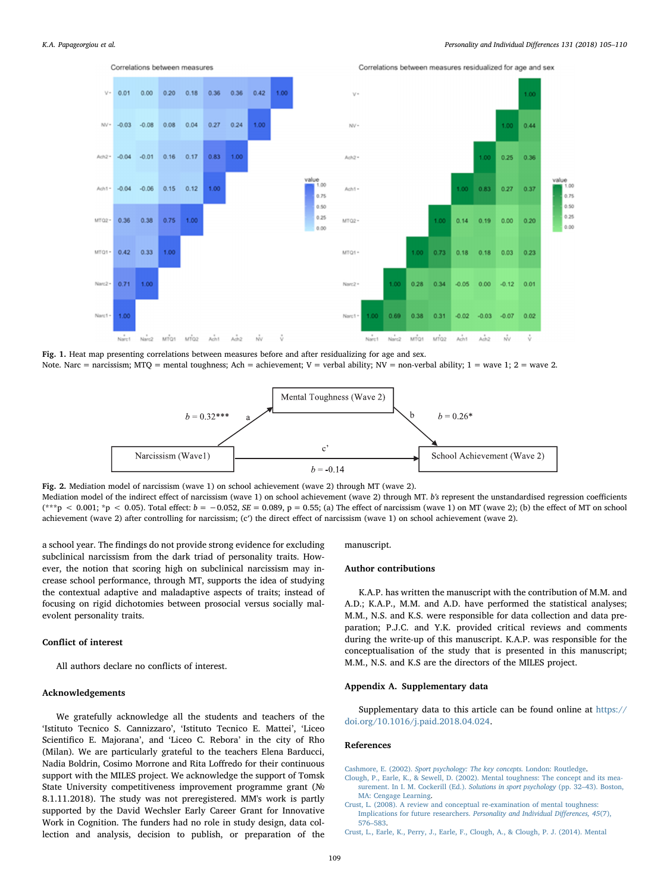<span id="page-4-4"></span>

<span id="page-4-5"></span>Fig. 1. Heat map presenting correlations between measures before and after residualizing for age and sex. Note. Narc = narcissism; MTQ = mental toughness; Ach = achievement; V = verbal ability; NV = non-verbal ability; 1 = wave 1; 2 = wave 2.



Fig. 2. Mediation model of narcissism (wave 1) on school achievement (wave 2) through MT (wave 2). Mediation model of the indirect effect of narcissism (wave 1) on school achievement (wave 2) through MT. b's represent the unstandardised regression coefficients  $(**p < 0.001; *p < 0.05)$ . Total effect:  $b = -0.052$ ,  $SE = 0.089$ ,  $p = 0.55$ ; (a) The effect of narcissism (wave 1) on MT (wave 2); (b) the effect of MT on school achievement (wave 2) after controlling for narcissism; (c′) the direct effect of narcissism (wave 1) on school achievement (wave 2).

a school year. The findings do not provide strong evidence for excluding subclinical narcissism from the dark triad of personality traits. However, the notion that scoring high on subclinical narcissism may increase school performance, through MT, supports the idea of studying the contextual adaptive and maladaptive aspects of traits; instead of focusing on rigid dichotomies between prosocial versus socially malevolent personality traits.

# Conflict of interest

All authors declare no conflicts of interest.

# Acknowledgements

We gratefully acknowledge all the students and teachers of the 'Istituto Tecnico S. Cannizzaro', 'Istituto Tecnico E. Mattei', 'Liceo Scientifico E. Majorana', and 'Liceo C. Rebora' in the city of Rho (Milan). We are particularly grateful to the teachers Elena Barducci, Nadia Boldrin, Cosimo Morrone and Rita Loffredo for their continuous support with the MILES project. We acknowledge the support of Tomsk State University competitiveness improvement programme grant (№ 8.1.11.2018). The study was not preregistered. MM's work is partly supported by the David Wechsler Early Career Grant for Innovative Work in Cognition. The funders had no role in study design, data collection and analysis, decision to publish, or preparation of the

### manuscript.

# Author contributions

K.A.P. has written the manuscript with the contribution of M.M. and A.D.; K.A.P., M.M. and A.D. have performed the statistical analyses; M.M., N.S. and K.S. were responsible for data collection and data preparation; P.J.C. and Y.K. provided critical reviews and comments during the write-up of this manuscript. K.A.P. was responsible for the conceptualisation of the study that is presented in this manuscript; M.M., N.S. and K.S are the directors of the MILES project.

### Appendix A. Supplementary data

Supplementary data to this article can be found online at [https://](https://doi.org/10.1016/j.paid.2018.04.024) [doi.org/10.1016/j.paid.2018.04.024.](https://doi.org/10.1016/j.paid.2018.04.024)

#### References

<span id="page-4-2"></span>Cashmore, E. (2002). [Sport psychology: The key concepts.](http://refhub.elsevier.com/S0191-8869(18)30214-9/rf0005) London: Routledge.

- <span id="page-4-0"></span>[Clough, P., Earle, K., & Sewell, D. \(2002\). Mental toughness: The concept and its mea](http://refhub.elsevier.com/S0191-8869(18)30214-9/rf0010)[surement. In I. M. Cockerill \(Ed.\).](http://refhub.elsevier.com/S0191-8869(18)30214-9/rf0010) Solutions in sport psychology (pp. 32–43). Boston, [MA: Cengage Learning](http://refhub.elsevier.com/S0191-8869(18)30214-9/rf0010).
- <span id="page-4-3"></span>[Crust, L. \(2008\). A review and conceptual re-examination of mental toughness:](http://refhub.elsevier.com/S0191-8869(18)30214-9/rf0015) [Implications for future researchers.](http://refhub.elsevier.com/S0191-8869(18)30214-9/rf0015) Personality and Individual Differences, 45(7), 576–[583](http://refhub.elsevier.com/S0191-8869(18)30214-9/rf0015).
- <span id="page-4-1"></span>[Crust, L., Earle, K., Perry, J., Earle, F., Clough, A., & Clough, P. J. \(2014\). Mental](http://refhub.elsevier.com/S0191-8869(18)30214-9/rf0025)